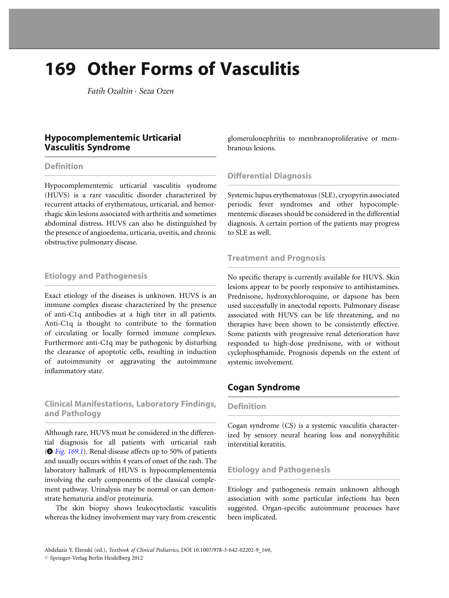# 169 Other Forms of Vasculitis

Fatih Ozaltin . Seza Ozen

# Hypocomplementemic Urticarial Vasculitis Syndrome

#### **Definition**

Hypocomplementemic urticarial vasculitis syndrome (HUVS) is a rare vasculitic disorder characterized by recurrent attacks of erythematous, urticarial, and hemorrhagic skin lesions associated with arthritis and sometimes abdominal distress. HUVS can also be distinguished by the presence of angioedema, urticaria, uveitis, and chronic obstructive pulmonary disease.

## Etiology and Pathogenesis

Exact etiology of the diseases is unknown. HUVS is an immune complex disease characterized by the presence of anti-C1q antibodies at a high titer in all patients. Anti-C1q is thought to contribute to the formation of circulating or locally formed immune complexes. Furthermore anti-C1q may be pathogenic by disturbing the clearance of apoptotic cells, resulting in induction of autoimmunity or aggravating the autoimmune inflammatory state.

# Clinical Manifestations, Laboratory Findings, and Pathology

Although rare, HUVS must be considered in the differential diagnosis for all patients with urticarial rash  $(•$  [Fig. 169.1](#page-1-0)). Renal disease affects up to 50% of patients and usually occurs within 4 years of onset of the rash. The laboratory hallmark of HUVS is hypocomplementemia involving the early components of the classical complement pathway. Urinalysis may be normal or can demonstrate hematuria and/or proteinuria.

The skin biopsy shows leukocytoclastic vasculitis whereas the kidney involvement may vary from crescentic glomerulonephritis to membranoproliferative or membranous lesions.

# Differential Diagnosis

Systemic lupus erythematosus (SLE), cryopyrin associated periodic fever syndromes and other hypocomplementemic diseases should be considered in the differential diagnosis. A certain portion of the patients may progress to SLE as well.

## Treatment and Prognosis

No specific therapy is currently available for HUVS. Skin lesions appear to be poorly responsive to antihistamines. Prednisone, hydroxychloroquine, or dapsone has been used successfully in anectodal reports. Pulmonary disease associated with HUVS can be life threatening, and no therapies have been shown to be consistently effective. Some patients with progressive renal deterioration have responded to high-dose prednisone, with or without cyclophosphamide. Prognosis depends on the extent of systemic involvement.

# Cogan Syndrome

#### Definition

Cogan syndrome (CS) is a systemic vasculitis characterized by sensory neural hearing loss and nonsyphilitic interstitial keratitis.

## Etiology and Pathogenesis

Etiology and pathogenesis remain unknown although association with some particular infections has been suggested. Organ-specific autoimmune processes have been implicated.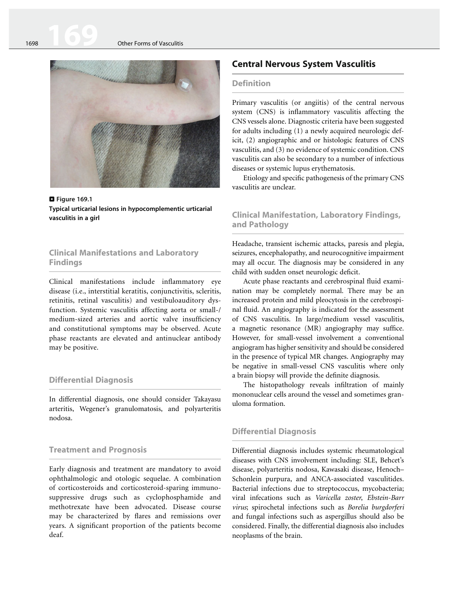<span id="page-1-0"></span>

**D** Figure 169.1<br>Typical urticarial lesions in hypocomplementic urticarial vasculitis in a girl vasculitis in a girl

## Clinical Manifestations and Laboratory **Findings**

Clinical manifestations include inflammatory eye disease (i.e., interstitial keratitis, conjunctivitis, scleritis, retinitis, retinal vasculitis) and vestibuloauditory dysfunction. Systemic vasculitis affecting aorta or small-/ medium-sized arteries and aortic valve insufficiency and constitutional symptoms may be observed. Acute phase reactants are elevated and antinuclear antibody may be positive.

#### Differential Diagnosis

In differential diagnosis, one should consider Takayasu arteritis, Wegener's granulomatosis, and polyarteritis nodosa.

#### Treatment and Prognosis

Early diagnosis and treatment are mandatory to avoid ophthalmologic and otologic sequelae. A combination of corticosteroids and corticosteroid-sparing immunosuppressive drugs such as cyclophosphamide and methotrexate have been advocated. Disease course may be characterized by flares and remissions over years. A significant proportion of the patients become deaf.

# Central Nervous System Vasculitis

#### **Definition**

Primary vasculitis (or angiitis) of the central nervous system (CNS) is inflammatory vasculitis affecting the CNS vessels alone. Diagnostic criteria have been suggested for adults including (1) a newly acquired neurologic deficit, (2) angiographic and or histologic features of CNS vasculitis, and (3) no evidence of systemic condition. CNS vasculitis can also be secondary to a number of infectious diseases or systemic lupus erythematosis.

Etiology and specific pathogenesis of the primary CNS vasculitis are unclear.

#### Clinical Manifestation, Laboratory Findings, and Pathology

Headache, transient ischemic attacks, paresis and plegia, seizures, encephalopathy, and neurocognitive impairment may all occur. The diagnosis may be considered in any child with sudden onset neurologic deficit.

Acute phase reactants and cerebrospinal fluid examination may be completely normal. There may be an increased protein and mild pleocytosis in the cerebrospinal fluid. An angiography is indicated for the assessment of CNS vasculitis. In large/medium vessel vasculitis, a magnetic resonance (MR) angiography may suffice. However, for small-vessel involvement a conventional angiogram has higher sensitivity and should be considered in the presence of typical MR changes. Angiography may be negative in small-vessel CNS vasculitis where only a brain biopsy will provide the definite diagnosis.

The histopathology reveals infiltration of mainly mononuclear cells around the vessel and sometimes granuloma formation.

#### Differential Diagnosis

Differential diagnosis includes systemic rheumatological diseases with CNS involvement including: SLE, Behcet's disease, polyarteritis nodosa, Kawasaki disease, Henoch– Schonlein purpura, and ANCA-associated vasculitides. Bacterial infections due to streptococcus, mycobacteria; viral infecations such as Varicella zoster, Ebstein-Barr virus; spirochetal infections such as Borelia burgdorferi and fungal infections such as aspergillus should also be considered. Finally, the differential diagnosis also includes neoplasms of the brain.